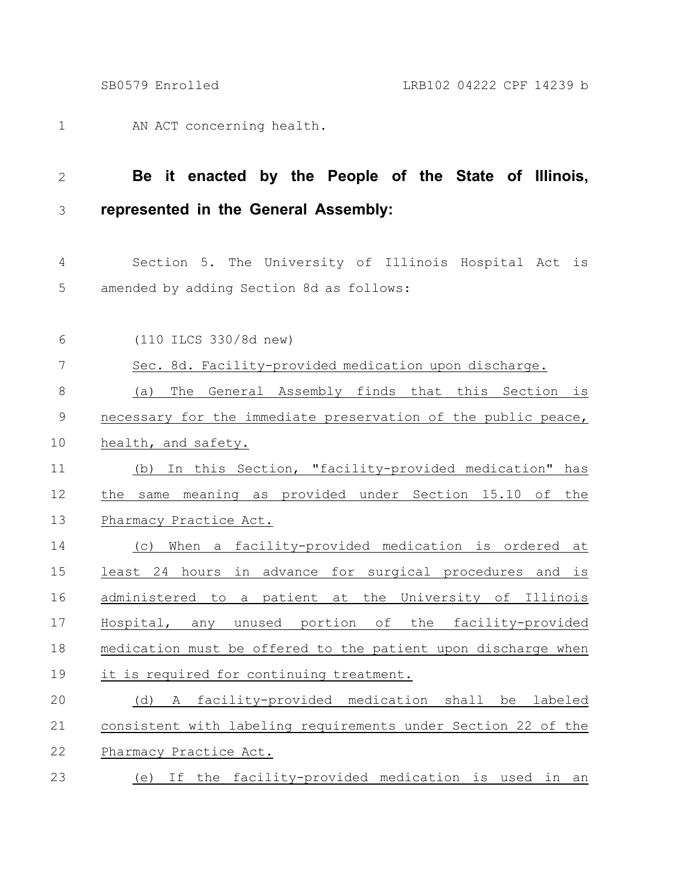AN ACT concerning health. 1

## **Be it enacted by the People of the State of Illinois, represented in the General Assembly:** 2 3

Section 5. The University of Illinois Hospital Act is amended by adding Section 8d as follows: 4 5

| 6             | (110 ILCS 330/8d new)                                         |
|---------------|---------------------------------------------------------------|
| 7             | Sec. 8d. Facility-provided medication upon discharge.         |
| 8             | The General Assembly finds that this Section is<br>(a)        |
| $\mathcal{G}$ | necessary for the immediate preservation of the public peace, |
| 10            | health, and safety.                                           |
| 11            | In this Section, "facility-provided medication" has<br>(b)    |
| 12            | same meaning as provided under Section 15.10 of<br>the<br>the |
| 13            | Pharmacy Practice Act.                                        |
| 14            | When a facility-provided medication is ordered at<br>(C)      |
| 15            | least 24 hours in advance for surgical procedures and is      |
| 16            | administered to a patient at the University of Illinois       |
| 17            | Hospital, any unused portion of the facility-provided         |
| 18            | medication must be offered to the patient upon discharge when |
| 19            | it is required for continuing treatment.                      |
| 20            | A facility-provided medication shall be labeled<br>(d)        |
| 21            | consistent with labeling requirements under Section 22 of the |
| 22            | Pharmacy Practice Act.                                        |
| 23            | (e) If the facility-provided medication is used in an         |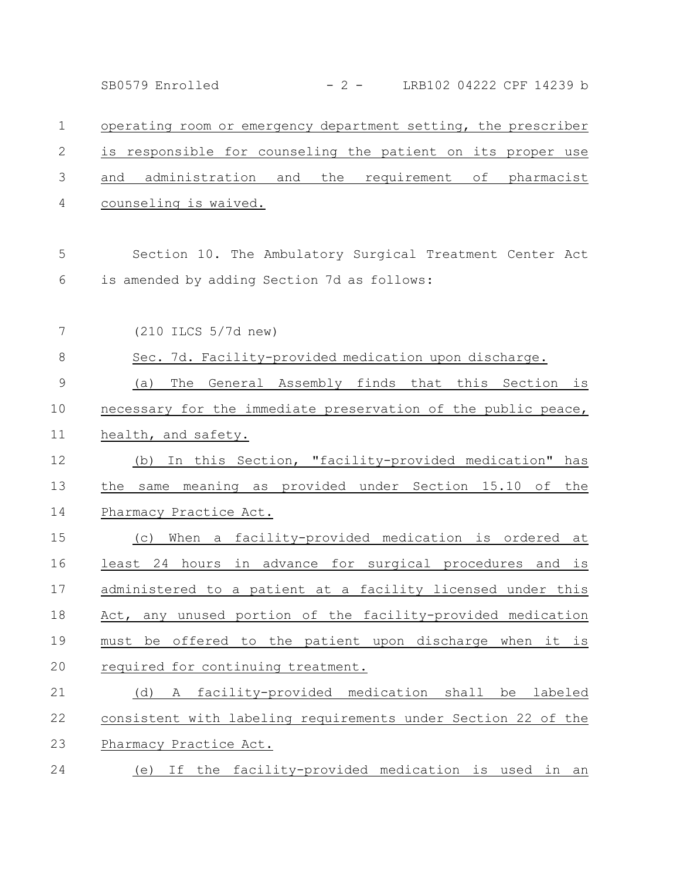operating room or emergency department setting, the prescriber is responsible for counseling the patient on its proper use and administration and the requirement of pharmacist counseling is waived. Section 10. The Ambulatory Surgical Treatment Center Act is amended by adding Section 7d as follows: (210 ILCS 5/7d new) Sec. 7d. Facility-provided medication upon discharge. (a) The General Assembly finds that this Section is necessary for the immediate preservation of the public peace, health, and safety. (b) In this Section, "facility-provided medication" has the same meaning as provided under Section 15.10 of the Pharmacy Practice Act. (c) When a facility-provided medication is ordered at least 24 hours in advance for surgical procedures and is administered to a patient at a facility licensed under this Act, any unused portion of the facility-provided medication must be offered to the patient upon discharge when it is required for continuing treatment. (d) A facility-provided medication shall be labeled consistent with labeling requirements under Section 22 of the Pharmacy Practice Act. (e) If the facility-provided medication is used in an 1 2 3 4 5 6 7 8 9 10 11 12 13 14 15 16 17 18 19 20 21 22 23 24 SB0579 Enrolled - 2 - LRB102 04222 CPF 14239 b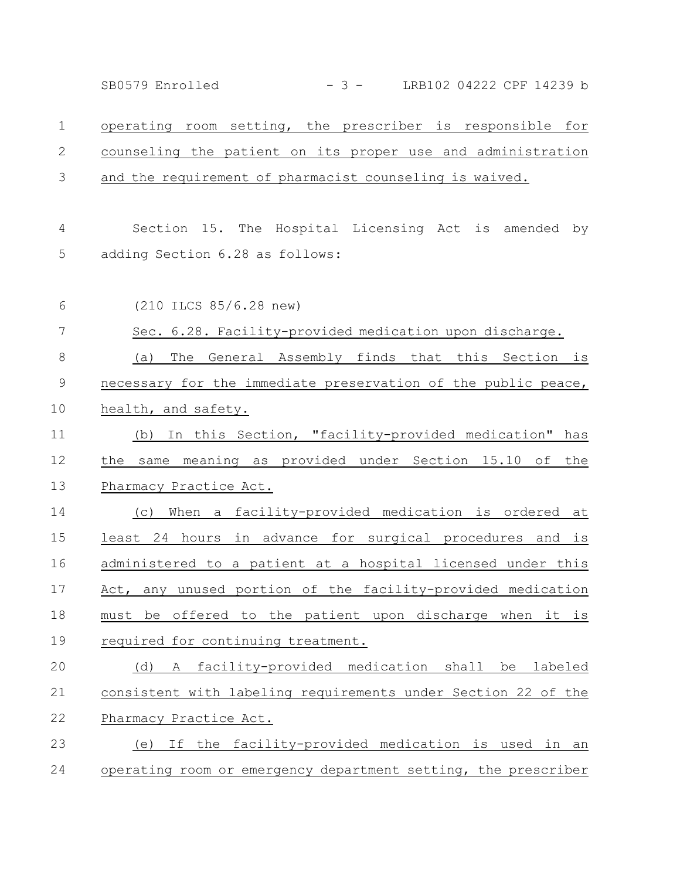operating room setting, the prescriber is responsible for counseling the patient on its proper use and administration and the requirement of pharmacist counseling is waived. Section 15. The Hospital Licensing Act is amended by adding Section 6.28 as follows: (210 ILCS 85/6.28 new) Sec. 6.28. Facility-provided medication upon discharge. (a) The General Assembly finds that this Section is necessary for the immediate preservation of the public peace, health, and safety. (b) In this Section, "facility-provided medication" has the same meaning as provided under Section 15.10 of the Pharmacy Practice Act. (c) When a facility-provided medication is ordered at least 24 hours in advance for surgical procedures and is administered to a patient at a hospital licensed under this Act, any unused portion of the facility-provided medication must be offered to the patient upon discharge when it is required for continuing treatment. (d) A facility-provided medication shall be labeled consistent with labeling requirements under Section 22 of the Pharmacy Practice Act. (e) If the facility-provided medication is used in an operating room or emergency department setting, the prescriber 1 2 3 4 5 6 7 8 9 10 11 12 13 14 15 16 17 18 19 20 21 22 23 24 SB0579 Enrolled - 3 - LRB102 04222 CPF 14239 b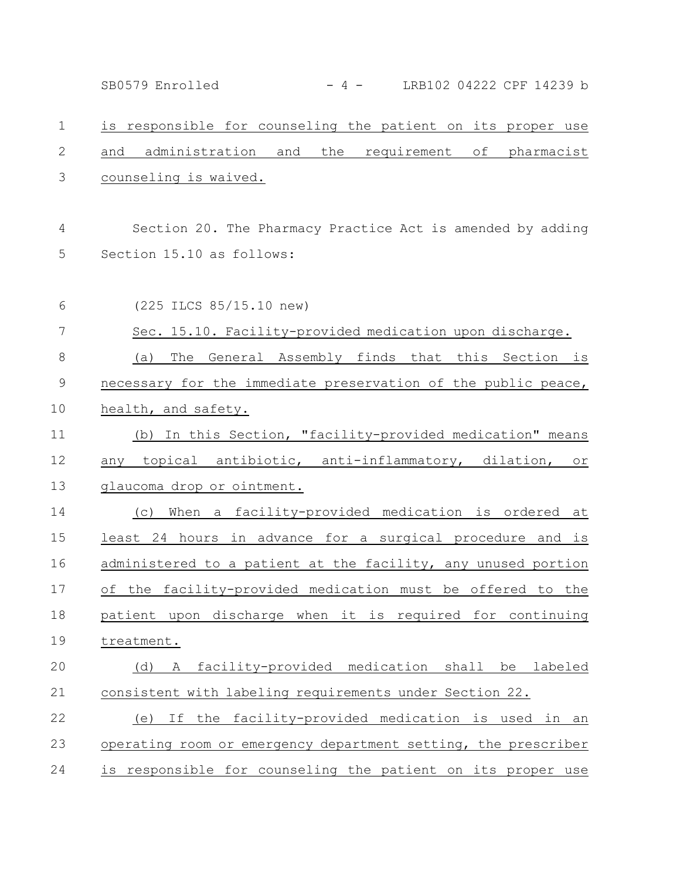is responsible for counseling the patient on its proper use and administration and the requirement of pharmacist counseling is waived. Section 20. The Pharmacy Practice Act is amended by adding Section 15.10 as follows: (225 ILCS 85/15.10 new) Sec. 15.10. Facility-provided medication upon discharge. (a) The General Assembly finds that this Section is necessary for the immediate preservation of the public peace, health, and safety. (b) In this Section, "facility-provided medication" means any topical antibiotic, anti-inflammatory, dilation, or glaucoma drop or ointment. (c) When a facility-provided medication is ordered at least 24 hours in advance for a surgical procedure and is administered to a patient at the facility, any unused portion of the facility-provided medication must be offered to the patient upon discharge when it is required for continuing treatment. (d) A facility-provided medication shall be labeled consistent with labeling requirements under Section 22. (e) If the facility-provided medication is used in an operating room or emergency department setting, the prescriber is responsible for counseling the patient on its proper use 1 2 3 4 5 6 7 8 9 10 11 12 13 14 15 16 17 18 19 20 21 22 23 24 SB0579 Enrolled - 4 - LRB102 04222 CPF 14239 b